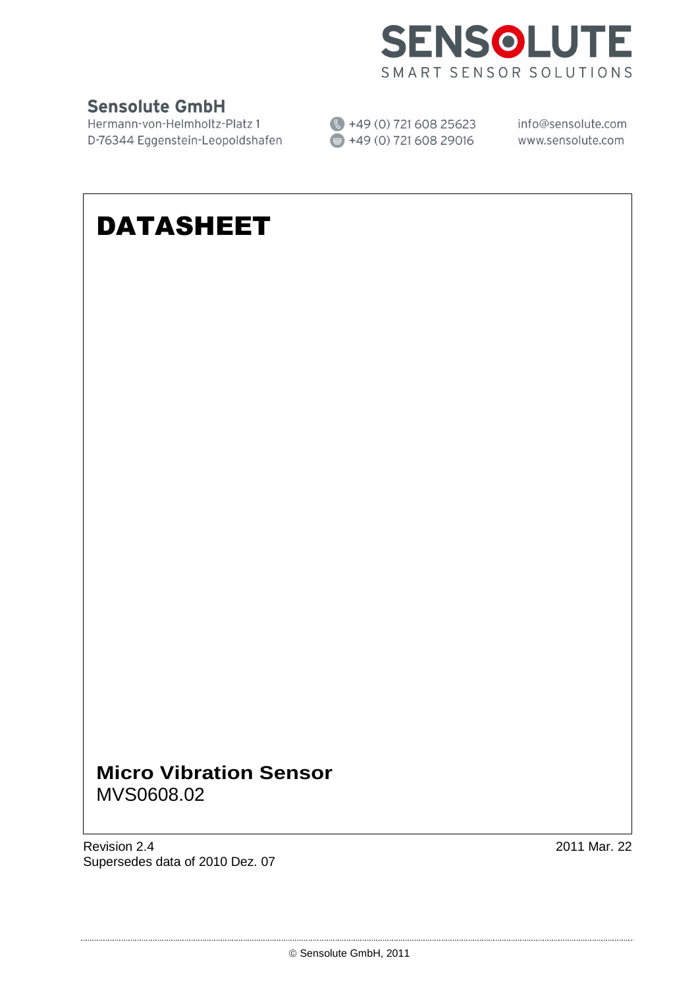

### **Sensolute GmbH**

Hermann-von-Helmholtz-Platz 1 (↓ +49 (0) 721 608 25623 info@sensolute.com<br>D-76344 Eggenstein-Leopoldshafen (■ +49 (0) 721 608 29016 www.sensolute.com

# DATASHEET

### **Micro Vibration Sensor**  MVS0608.02

Revision 2.4 2011 Mar. 22 Supersedes data of 2010 Dez. 07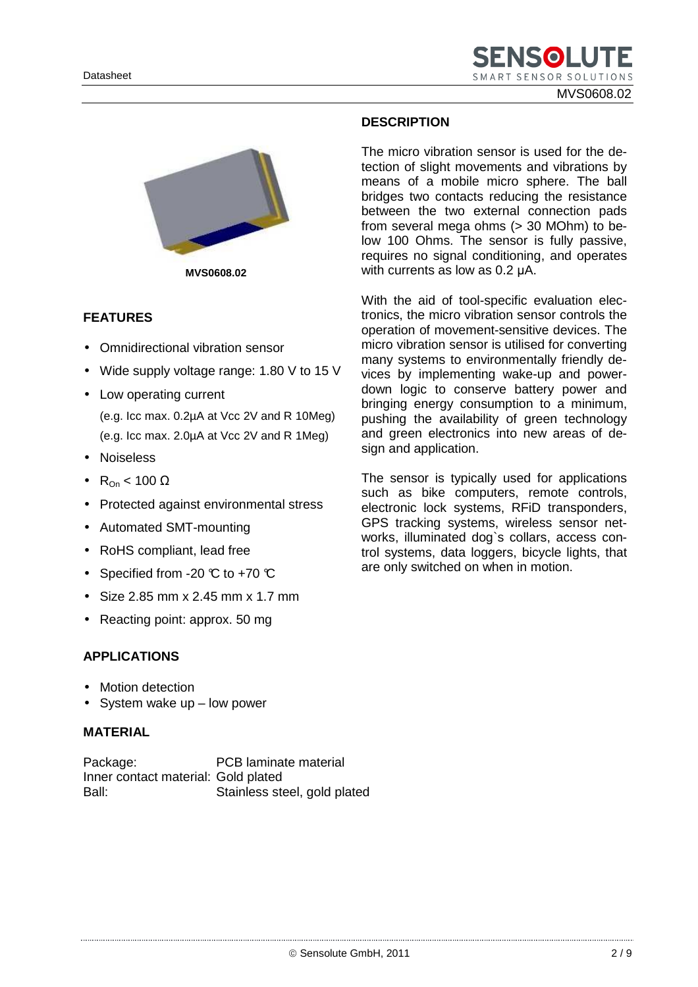MVS0608.02



**MVS0608.02**

#### **FEATURES**

- Omnidirectional vibration sensor
- Wide supply voltage range: 1.80 V to 15 V
- Low operating current
	- (e.g. Icc max. 0.2µA at Vcc 2V and R 10Meg) (e.g. Icc max. 2.0µA at Vcc 2V and R 1Meg)
- Noiseless
- R<sub>On</sub> < 100  $\Omega$
- Protected against environmental stress
- Automated SMT-mounting
- RoHS compliant, lead free
- Specified from -20  $\mathbb C$  to +70  $\mathbb C$
- Size 2.85 mm x 2.45 mm x 1.7 mm
- Reacting point: approx. 50 mg

#### **APPLICATIONS**

- Motion detection
- System wake up low power

#### **MATERIAL**

Package: PCB laminate material Inner contact material: Gold plated Ball: Stainless steel, gold plated

#### **DESCRIPTION**

The micro vibration sensor is used for the detection of slight movements and vibrations by means of a mobile micro sphere. The ball bridges two contacts reducing the resistance between the two external connection pads from several mega ohms (> 30 MOhm) to below 100 Ohms. The sensor is fully passive, requires no signal conditioning, and operates with currents as low as 0.2 µA.

With the aid of tool-specific evaluation electronics, the micro vibration sensor controls the operation of movement-sensitive devices. The micro vibration sensor is utilised for converting many systems to environmentally friendly devices by implementing wake-up and powerdown logic to conserve battery power and bringing energy consumption to a minimum, pushing the availability of green technology and green electronics into new areas of design and application.

The sensor is typically used for applications such as bike computers, remote controls, electronic lock systems, RFiD transponders, GPS tracking systems, wireless sensor networks, illuminated dog`s collars, access control systems, data loggers, bicycle lights, that are only switched on when in motion.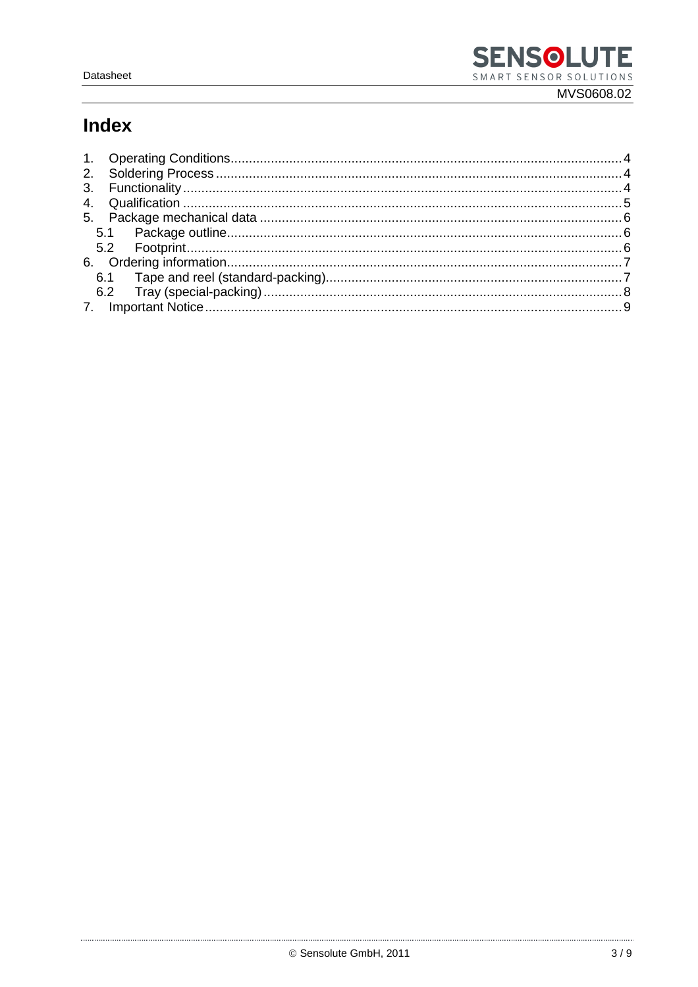## **Index**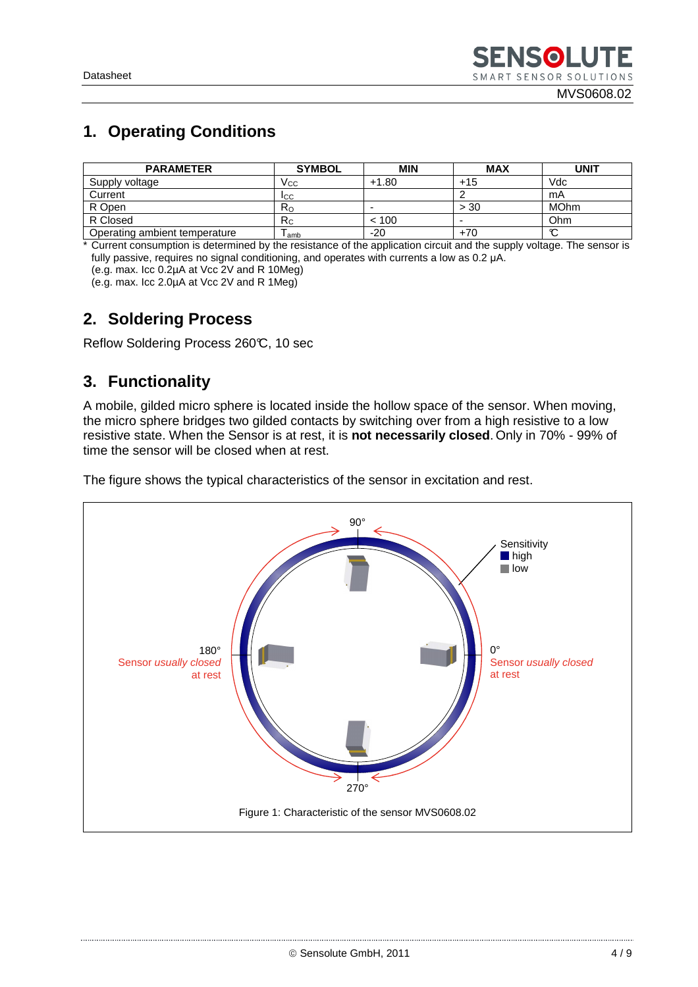#### MVS0608.02

### **1. Operating Conditions**

| <b>PARAMETER</b>              | <b>SYMBOL</b> | <b>MIN</b> | <b>MAX</b>               | <b>UNIT</b> |
|-------------------------------|---------------|------------|--------------------------|-------------|
| Supply voltage                | Vcc           | $+1.80$    | $+15$                    | Vdc         |
| Current                       | <b>ICC</b>    |            |                          | mA          |
| R Open                        | $R_{\rm O}$   | -          | > 30                     | <b>MOhm</b> |
| R Closed                      | $R_{C}$       | < 100      | $\overline{\phantom{0}}$ | <b>Ohm</b>  |
| Operating ambient temperature | l amb         | $-20$      | $+70$                    | $\sim$<br>ັ |

\* Current consumption is determined by the resistance of the application circuit and the supply voltage. The sensor is fully passive, requires no signal conditioning, and operates with currents a low as 0.2 µA.

(e.g. max. Icc 0.2µA at Vcc 2V and R 10Meg)

(e.g. max. Icc 2.0µA at Vcc 2V and R 1Meg)

### **2. Soldering Process**

Reflow Soldering Process 260°C, 10 sec

### **3. Functionality**

A mobile, gilded micro sphere is located inside the hollow space of the sensor. When moving, the micro sphere bridges two gilded contacts by switching over from a high resistive to a low resistive state. When the Sensor is at rest, it is **not necessarily closed**. Only in 70% - 99% of time the sensor will be closed when at rest.

The figure shows the typical characteristics of the sensor in excitation and rest.

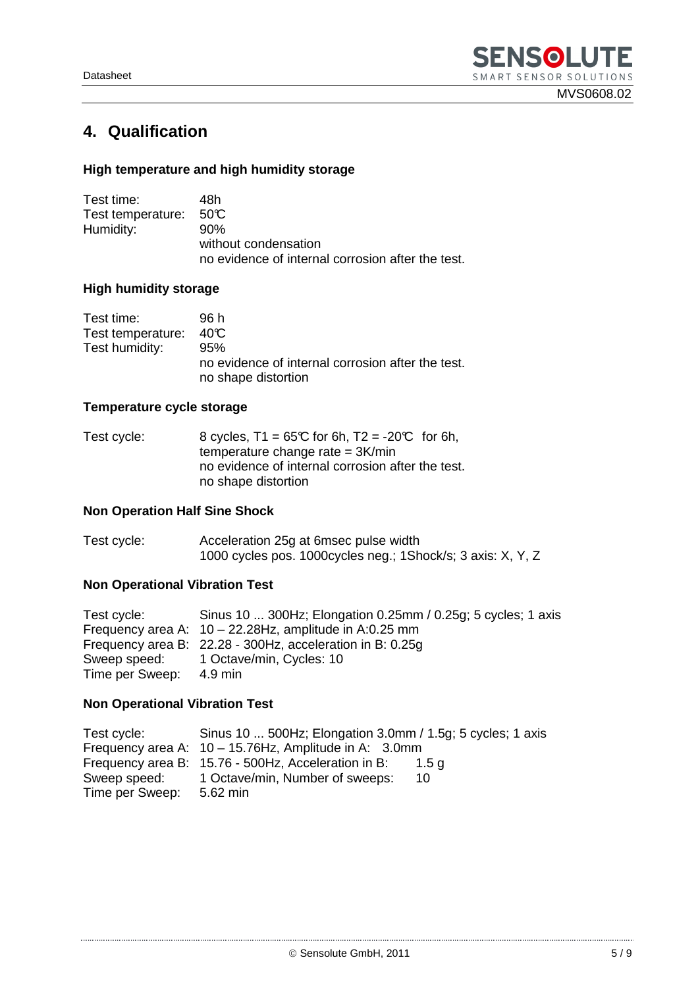### **4. Qualification**

### **High temperature and high humidity storage**

| Test time:        | 48h                                               |
|-------------------|---------------------------------------------------|
| Test temperature: | 50 C                                              |
| Humidity:         | 90%                                               |
|                   | without condensation                              |
|                   | no evidence of internal corrosion after the test. |

#### **High humidity storage**

| Test time:                        | 96 h                                                                            |
|-----------------------------------|---------------------------------------------------------------------------------|
| Test temperature: $40\textdegree$ |                                                                                 |
| Test humidity:                    | 95%<br>no evidence of internal corrosion after the test.<br>no shape distortion |

### **Temperature cycle storage**

| Test cycle: | 8 cycles, $T1 = 65^\circ C$ for 6h, $T2 = -20^\circ C$ for 6h, |
|-------------|----------------------------------------------------------------|
|             | temperature change rate = $3K/min$                             |
|             | no evidence of internal corrosion after the test.              |
|             | no shape distortion                                            |

#### **Non Operation Half Sine Shock**

| Test cycle: | Acceleration 25g at 6msec pulse width                        |
|-------------|--------------------------------------------------------------|
|             | 1000 cycles pos. 1000 cycles neg.; 1Shock/s; 3 axis: X, Y, Z |

### **Non Operational Vibration Test**

| Test cycle:             | Sinus 10  300Hz; Elongation 0.25mm / 0.25g; 5 cycles; 1 axis |
|-------------------------|--------------------------------------------------------------|
|                         | Frequency area A: $10 - 22.28$ Hz, amplitude in A:0.25 mm    |
|                         | Frequency area B: 22.28 - 300Hz, acceleration in B: 0.25g    |
|                         | Sweep speed: 1 Octave/min, Cycles: 10                        |
| Time per Sweep: 4.9 min |                                                              |

#### **Non Operational Vibration Test**

| Test cycle:              | Sinus 10  500Hz; Elongation 3.0mm / 1.5g; 5 cycles; 1 axis   |
|--------------------------|--------------------------------------------------------------|
|                          | Frequency area A: $10 - 15.76$ Hz, Amplitude in A: 3.0mm     |
|                          | Frequency area B: 15.76 - 500Hz, Acceleration in B:<br>1.5 a |
| Sweep speed:             | 1 Octave/min, Number of sweeps:<br>10                        |
| Time per Sweep: 5.62 min |                                                              |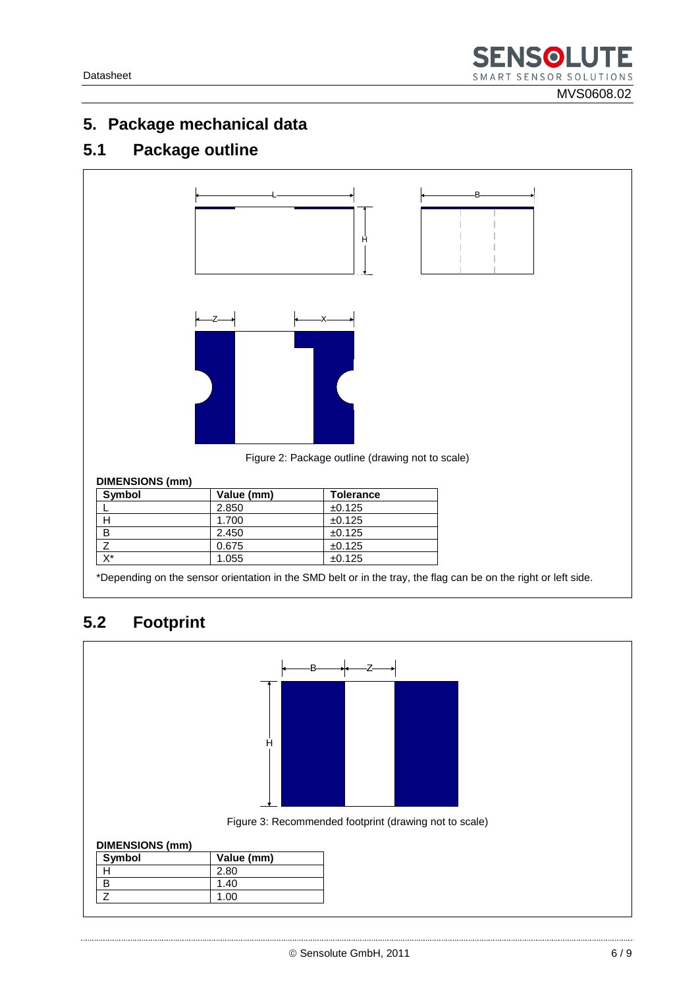### **5. Package mechanical data**

### **5.1 Package outline**



\*Depending on the sensor orientation in the SMD belt or in the tray, the flag can be on the right or left side.

## **5.2 Footprint**

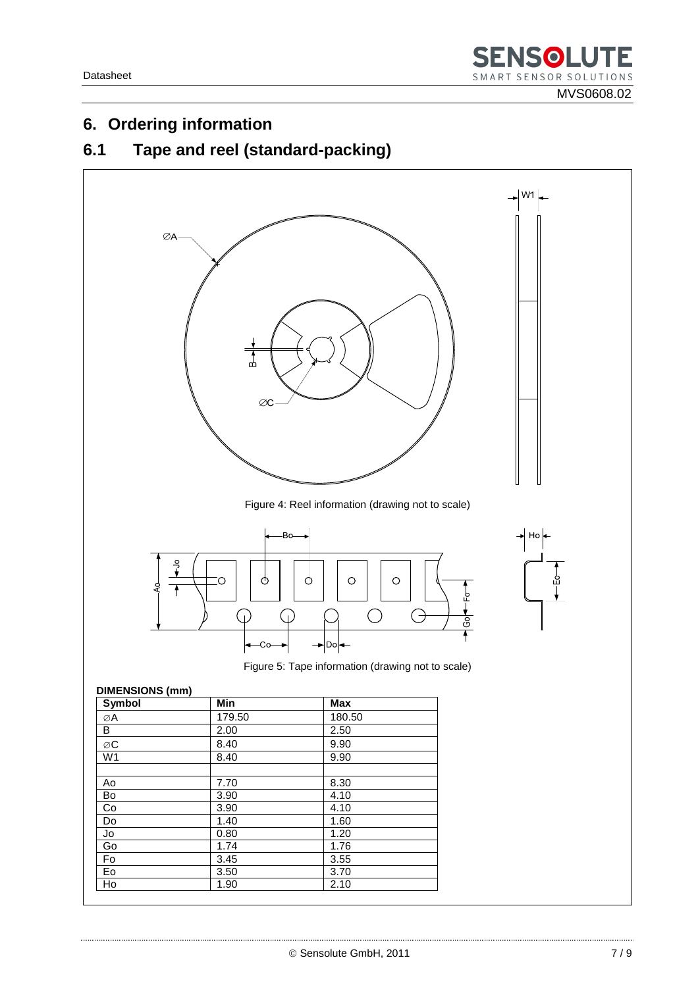### 6. Ordering information

#### Tape and reel (standard-packing)  $6.1$

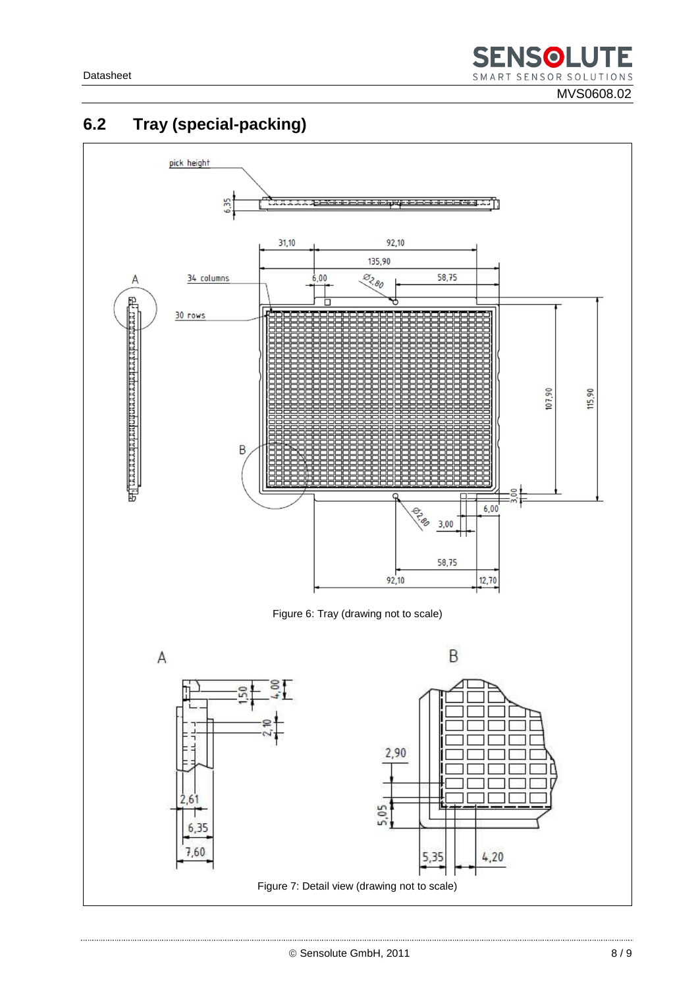MVS0608.02



## **6.2 Tray (special-packing)**